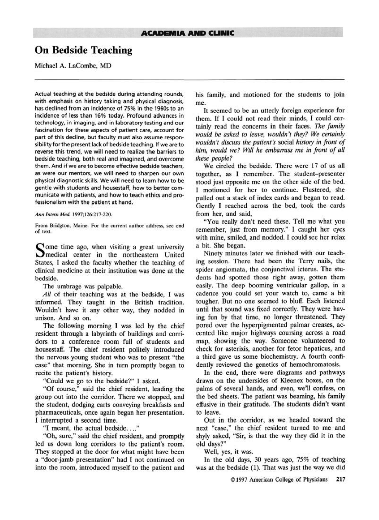## **On Bedside Teaching**

Michael A. LaCombe, MD

**Actual teaching at the bedside during attending rounds, with emphasis on history taking and physical diagnosis, has declined from an incidence of 75% in the 1960s to an incidence of less than 16% today. Profound advances in technology, in imaging, and in laboratory testing and our fascination for these aspects of patient care, account for part of this decline, but faculty must also assume responsibility for the present lack of bedside teaching. If we are to reverse this trend, we will need to realize the barriers to bedside teaching, both real and imagined, and overcome them. And if we are to become effective bedside teachers, as were our mentors, we will need to sharpen our own physical diagnostic skills. We will need to learn how to be gentle with students and housestaff, how to better communicate with patients, and how to teach ethics and professionalism with the patient at hand.** 

## *Ann Intern Med.* 1997;126:217-220.

From Bridgton, Maine. For the current author address, see end of text.

Some time ago, when visiting a great university<br>medical center in the northeastern United **O**medical center in the northeastern United States, I asked the faculty whether the teaching of clinical medicine at their institution was done at the bedside.

The umbrage was palpable.

*All* of their teaching was at the bedside, I was informed. They taught in the British tradition. Wouldn't have it any other way, they nodded in unison. And so on.

The following morning I was led by the chief resident through a labyrinth of buildings and corridors to a conference room full of students and housestaff. The chief resident politely introduced the nervous young student who was to present "the case" that morning. She in turn promptly began to recite the patient's history.

"Could we go to the bedside?" I asked.

"Of course," said the chief resident, leading the group out into the corridor. There we stopped, and the student, dodging carts conveying breakfasts and pharmaceuticals, once again began her presentation. I interrupted a second time.

"I meant, the actual bedside...."

"Oh, sure," said the chief resident, and promptly led us down long corridors to the patient's room. They stopped at the door for what might have been a "door-jamb presentation" had I not continued on into the room, introduced myself to the patient and his family, and motioned for the students to join me.

It seemed to be an utterly foreign experience for them. If I could not read their minds, I could certainly read the concerns in their faces. *The family would be asked to leave, wouldn't they? We certainly wouldn't discuss the patient's* social *history in front of him, would we? Will he embarrass me in front of all these people?* 

We circled the bedside. There were 17 of us all together, as I remember. The student-presenter stood just opposite me on the other side of the bed. I motioned for her to continue. Flustered, she pulled out a stack of index cards and began to read. Gently I reached across the bed, took the cards from her, and said,

"You really don't need these. Tell me what you remember, just from memory." I caught her eyes with mine, smiled, and nodded. I could see her relax a bit. She began.

Ninety minutes later we finished with our teaching session. There had been the Terry nails, the spider angiomata, the conjunctival icterus. The students had spotted those right away, gotten them easily. The deep booming ventricular gallop, in a cadence you could set your watch to, came a bit tougher. But no one seemed to bluff. Each listened until that sound was fixed correctly. They were having fun by that time, no longer threatened. They pored over the hyperpigmented palmar creases, accented like major highways coursing across a road map, showing the way. Someone volunteered to check for asterixis, another for fetor hepaticus, and a third gave us some biochemistry. A fourth confidently reviewed the genetics of hemochromatosis.

In the end, there were diagrams and pathways drawn on the undersides of Kleenex boxes, on the palms of several hands, and even, we'll confess, on the bed sheets. The patient was beaming, his family effusive in their gratitude. The students didn't want to leave.

Out in the corridor, as we headed toward the next "case," the chief resident turned to me and shyly asked, "Sir, is that the way they did it in the old days?"

Well, yes, it was.

In the old days, 30 years ago, 75% of teaching was at the bedside (1). That was just the way we did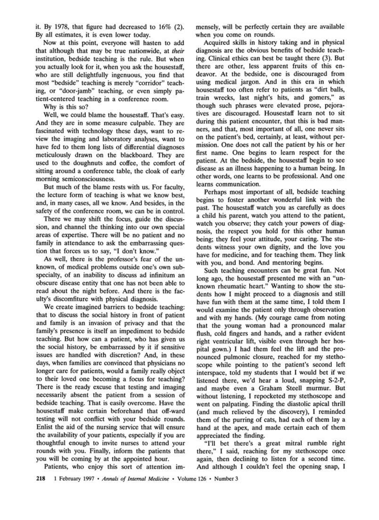it. By 1978, that figure had decreased to 16% (2). By all estimates, it is even lower today.

Now at this point, everyone will hasten to add that although that may be true nationwide, at *their*  institution, bedside teaching is the rule. But when you actually look for it, when you ask the housestaff, who are still delightfully ingenuous, you find that most "bedside" teaching is merely "corridor" teaching, or "door-jamb" teaching, or even simply patient-centered teaching in a conference room.

Why is this so?

Well, we could blame the housestaff. That's easy. And they are in some measure culpable. They are fascinated with technology these days, want to review the imaging and laboratory analyses, want to have fed to them long lists of differential diagnoses meticulously drawn on the blackboard. They are used to the doughnuts and coffee, the comfort of sitting around a conference table, the cloak of early morning semiconsciousness.

But much of the blame rests with us. For faculty, the lecture form of teaching is what we know best, and, in many cases, all we know. And besides, in the safety of the conference room, we can be in control.

There we may shift the focus, guide the discussion, and channel the thinking into our own special areas of expertise. There will be no patient and no family in attendance to ask the embarrassing question that forces us to say, "I don't know."

As well, there is the professor's fear of the unknown, of medical problems outside one's own subspecialty, of an inability to discuss ad infinitum an obscure disease entity that one has not been able to read about the night before. And there is the faculty's discomfiture with physical diagnosis.

We create imagined barriers to bedside teaching: that to discuss the social history in front of patient and family is an invasion of privacy and that the family's presence is itself an impediment to bedside teaching. But how can a patient, who has given us the social history, be embarrassed by it if sensitive issues are handled with discretion? And, in these days, when families are convinced that physicians no longer care for patients, would a family really object to their loved one becoming a focus for teaching? There is the ready excuse that testing and imaging necessarily absent the patient from a session of bedside teaching. That is easily overcome. Have the housestaff make certain beforehand that off-ward testing will not conflict with your bedside rounds. Enlist the aid of the nursing service that will ensure the availability of your patients, especially if you are thoughtful enough to invite nurses to attend your rounds with you. Finally, inform the patients that you will be coming by at the appointed hour.

Patients, who enjoy this sort of attention im-

mensely, will be perfectly certain they are available when you come on rounds.

Acquired skills in history taking and in physical diagnosis are the obvious benefits of bedside teaching. Clinical ethics can best be taught there (3). But there are other, less apparent fruits of this endeavor. At the bedside, one is discouraged from using medical jargon. And in this era in which housestaff too often refer to patients as "dirt balls, train wrecks, last night's hits, and gomers," as though such phrases were elevated prose, pejoratives are discouraged. Housestaff learn not to sit during this patient encounter, that this is bad manners, and that, most important of all, one never sits on the patient's bed, certainly, at least, without permission. One does not call the patient by his or her first name. One begins to learn respect for the patient. At the bedside, the housestaff begin to see disease as an illness happening to a human being. In other words, one learns to be professional. And one learns communication.

Perhaps most important of all, bedside teaching begins to foster another wonderful link with the past. The housestaff watch you as carefully as does a child his parent, watch you attend to the patient, watch you observe; they catch your powers of diagnosis, the respect you hold for this other human being; they feel your attitude, your caring. The students witness your own dignity, and the love you have for medicine, and for teaching them. They link with you, and bond. And mentoring begins.

Such teaching encounters can be great fun. Not long ago, the housestaff presented me with an "unknown rheumatic heart." Wanting to show the students how I might proceed to a diagnosis and still have fun with them at the same time, I told them I would examine the patient only through observation and with my hands. (My courage came from noting that the young woman had a pronounced malar flush, cold fingers and hands, and a rather evident right ventricular lift, visible even through her hospital gown.) I had them feel the lift and the pronounced pulmonic closure, reached for my stethoscope while pointing to the patient's second left interspace, told my students that I would bet if we listened there, we'd hear a loud, snapping S-2-P, and maybe even a Graham Steell murmur. But without listening, I repocketed my stethoscope and went on palpating. Finding the diastolic apical thrill (and much relieved by the discovery), I reminded them of the purring of cats, had each of them lay a hand at the apex, and made certain each of them appreciated the finding.

"I'll bet there's a great mitral rumble right there," I said, reaching for my stethoscope once again, then declining to listen for a second time. And although I couldn't feel the opening snap, I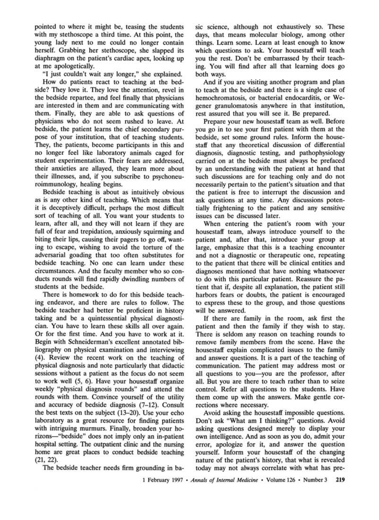pointed to where it might be, teasing the students with my stethoscope a third time. At this point, the young lady next to me could no longer contain herself. Grabbing her stethoscope, she slapped its diaphragm on the patient's cardiac apex, looking up at me apologetically.

"I just couldn't wait any longer," she explained.

How do patients react to teaching at the bedside? They love it. They love the attention, revel in the bedside repartee, and feel finally that physicians are interested in them and are communicating with them. Finally, they are able to ask questions of physicians who do not seem rushed to leave. At bedside, the patient learns the chief secondary purpose of your institution, that of teaching students. They, the patients, become participants in this and no longer feel like laboratory animals caged for student experimentation. Their fears are addressed, their anxieties are allayed, they learn more about their illnesses, and, if you subscribe to psychoneuroimmunology, healing begins.

Bedside teaching is about as intuitively obvious as is any other kind of teaching. Which means that it is deceptively difficult, perhaps the most difficult sort of teaching of all. You want your students to learn, after all, and they will not learn if they are full of fear and trepidation, anxiously squirming and biting their lips, causing their pagers to go off, wanting to escape, wishing to avoid the torture of the adversarial goading that too often substitutes for bedside teaching. No one can learn under these circumstances. And the faculty member who so conducts rounds will find rapidly dwindling numbers of students at the bedside.

There is homework to do for this bedside teaching endeavor, and there are rules to follow. The bedside teacher had better be proficient in history taking and be a quintessential physical diagnostician. You have to learn these skills all over again. Or for the first time. And you have to work at it. Begin with Schneiderman's excellent annotated bibliography on physical examination and interviewing (4). Review the recent work on the teaching of physical diagnosis and note particularly that didactic sessions without a patient as the focus do not seem to work well (5, 6). Have your housestaff organize weekly "physical diagnosis rounds" and attend the rounds with them. Convince yourself of the utility and accuracy of bedside diagnosis (7-12). Consult the best texts on the subject (13-20). Use your echo laboratory as a great resource for finding patients with intriguing murmurs. Finally, broaden your horizons—"bedside" does not imply only an in-patient hospital setting. The outpatient clinic and the nursing home are great places to conduct bedside teaching (21, 22).

The bedside teacher needs firm grounding in ba-

sic science, although not exhaustively so. These days, that means molecular biology, among other things. Learn some. Learn at least enough to know which questions to ask. Your housestaff will teach you the rest. Don't be embarrassed by their teaching. You will find after all that learning does go both ways.

And if you are visiting another program and plan to teach at the bedside and there is a single case of hemochromatosis, or bacterial endocarditis, or Wegener granulomatosis anywhere in that institution, rest assured that you will see it. Be prepared.

Prepare your new housestaff team as well. Before you go in to see your first patient with them at the bedside, set some ground rules. Inform the housestaff that any theoretical discussion of differential diagnosis, diagnostic testing, and pathophysiology carried on at the bedside must always be prefaced by an understanding with the patient at hand that such discussions are for teaching only and do not necessarily pertain to the patient's situation and that the patient is free to interrupt the discussion and ask questions at any time. Any discussions potentially frightening to the patient and any sensitive issues can be discussed later.

When entering the patient's room with your housestaff team, always introduce yourself to the patient and, after that, introduce your group at large, emphasize that this is a teaching encounter and not a diagnostic or therapeutic one, repeating to the patient that there will be clinical entities and diagnoses mentioned that have nothing whatsoever to do with this particular patient. Reassure the patient that if, despite all explanation, the patient still harbors fears or doubts, the patient is encouraged to express these to the group, and those questions will be answered.

If there are family in the room, ask first the patient and then the family if they wish to stay. There is seldom any reason on teaching rounds to remove family members from the scene. Have the housestaff explain complicated issues to the family and answer questions. It is a part of the teaching of communication. The patient may address most or all questions to you—you are the professor, after all. But you are there to teach rather than to seize control. Refer all questions to the students. Have them come up with the answers. Make gentle corrections where necessary.

Avoid asking the housestaff impossible questions. Don't ask "What am I thinking?" questions. Avoid asking questions designed merely to display your own intelligence. And as soon as you do, admit your error, apologize for it, and answer the question yourself. Inform your housestaff of the changing nature of the patient's history, that what is revealed today may not always correlate with what has pre